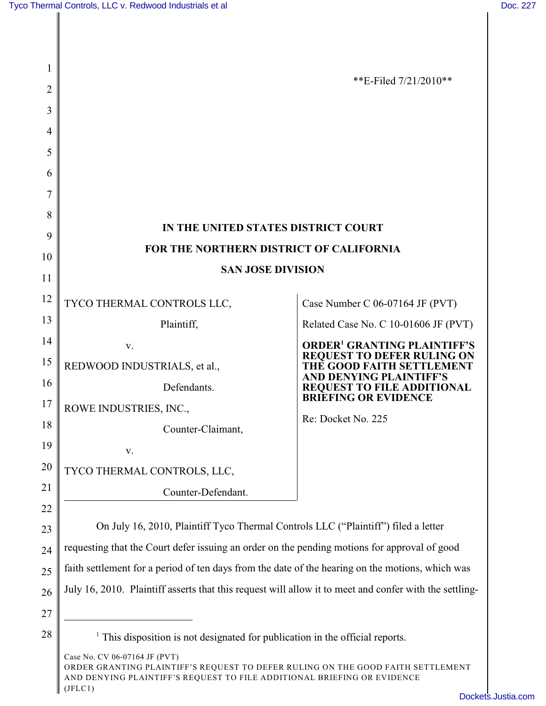| 1  |                                                                                                        |                                                                     |
|----|--------------------------------------------------------------------------------------------------------|---------------------------------------------------------------------|
| 2  |                                                                                                        | **E-Filed $7/21/2010**$                                             |
| 3  |                                                                                                        |                                                                     |
| 4  |                                                                                                        |                                                                     |
| 5  |                                                                                                        |                                                                     |
| 6  |                                                                                                        |                                                                     |
| 7  |                                                                                                        |                                                                     |
| 8  |                                                                                                        |                                                                     |
| 9  | IN THE UNITED STATES DISTRICT COURT                                                                    |                                                                     |
| 10 | FOR THE NORTHERN DISTRICT OF CALIFORNIA                                                                |                                                                     |
| 11 | <b>SAN JOSE DIVISION</b>                                                                               |                                                                     |
| 12 | TYCO THERMAL CONTROLS LLC,                                                                             | Case Number C 06-07164 JF (PVT)                                     |
| 13 | Plaintiff,                                                                                             | Related Case No. C 10-01606 JF (PVT)                                |
| 14 | V.                                                                                                     | <b>ORDER<sup>1</sup> GRANTING PLAINTIFF'S</b>                       |
| 15 | REDWOOD INDUSTRIALS, et al.,                                                                           | REQUEST TO DEFER RULING ON<br>THE GOOD FAITH SETTLEMENT             |
| 16 | Defendants.                                                                                            | <b>AND DENYING PLAINTIFF'S</b><br><b>REQUEST TO FILE ADDITIONAL</b> |
| 17 | ROWE INDUSTRIES, INC.,                                                                                 | <b>BRIEFING OR EVIDENCE</b>                                         |
| 18 | Counter-Claimant,                                                                                      | Re: Docket No. 225                                                  |
| 19 | v.                                                                                                     |                                                                     |
| 20 | TYCO THERMAL CONTROLS, LLC,                                                                            |                                                                     |
| 21 | Counter-Defendant.                                                                                     |                                                                     |
| 22 |                                                                                                        |                                                                     |
| 23 | On July 16, 2010, Plaintiff Tyco Thermal Controls LLC ("Plaintiff") filed a letter                     |                                                                     |
| 24 | requesting that the Court defer issuing an order on the pending motions for approval of good           |                                                                     |
| 25 | faith settlement for a period of ten days from the date of the hearing on the motions, which was       |                                                                     |
| 26 | July 16, 2010. Plaintiff asserts that this request will allow it to meet and confer with the settling- |                                                                     |
| 27 |                                                                                                        |                                                                     |
| 28 | This disposition is not designated for publication in the official reports.                            |                                                                     |

Case No. CV 06-07164 JF (PVT) ORDER GRANTING PLAINTIFF'S REQUEST TO DEFER RULING ON THE GOOD FAITH SETTLEMENT AND DENYING PLAINTIFF'S REQUEST TO FILE ADDITIONAL BRIEFING OR EVIDENCE (JFLC1)